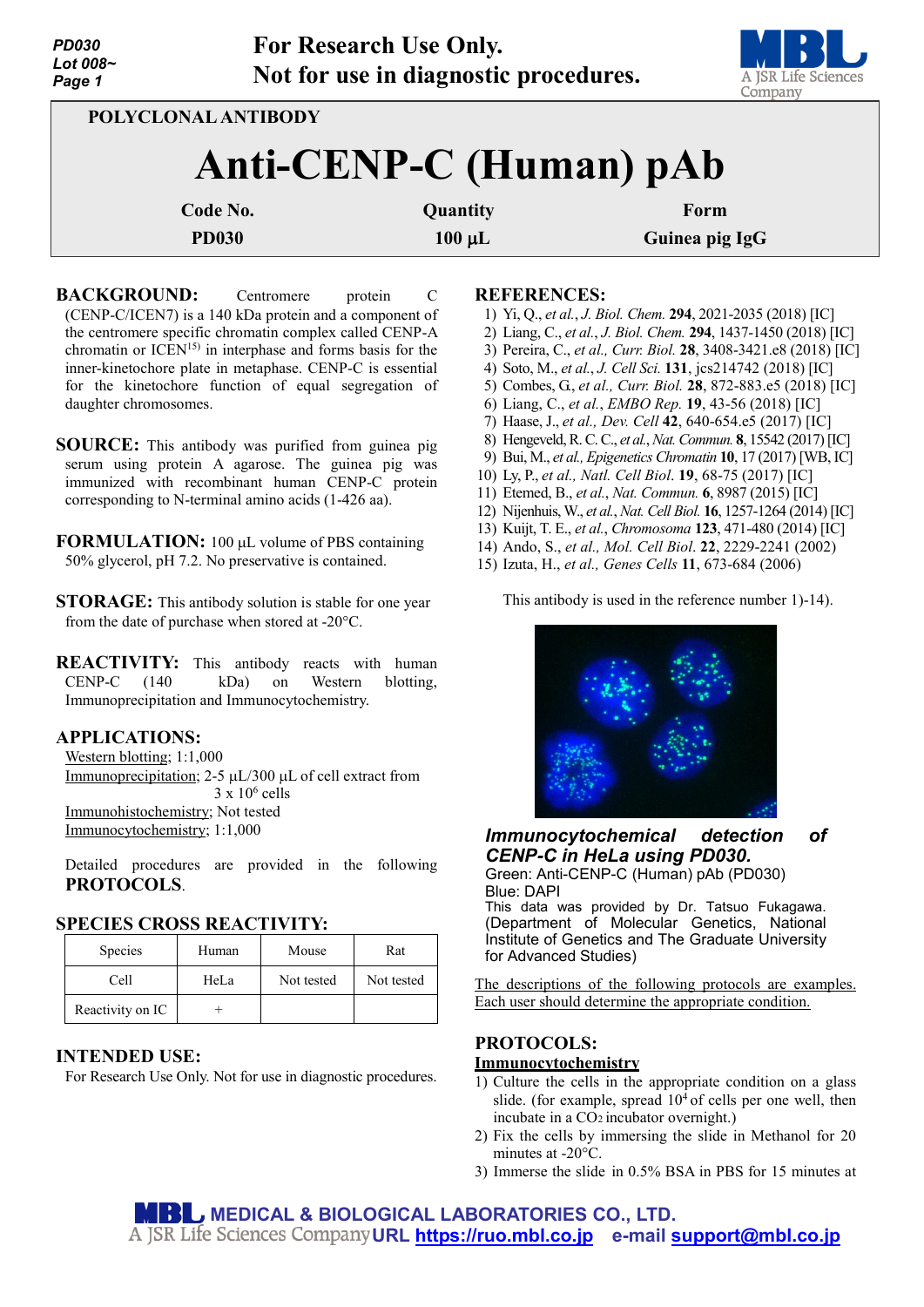| <b>PD030</b><br>Lot 008~<br>Page 1 |              | <b>For Research Use Only.</b><br>Not for use in diagnostic procedures. | A JSR Life Sciences<br>Company |  |  |  |  |
|------------------------------------|--------------|------------------------------------------------------------------------|--------------------------------|--|--|--|--|
| POLYCLONAL ANTIBODY                |              |                                                                        |                                |  |  |  |  |
| Anti-CENP-C (Human) pAb            |              |                                                                        |                                |  |  |  |  |
| Code No.                           |              | Quantity                                                               | Form                           |  |  |  |  |
|                                    | <b>PD030</b> | $100 \mu L$                                                            | Guinea pig IgG                 |  |  |  |  |
|                                    |              |                                                                        |                                |  |  |  |  |

**BACKGROUND:** Centromere protein C (CENP-C/ICEN7) is a 140 kDa protein and a component of the centromere specific chromatin complex called CENP-A chromatin or ICEN15) in interphase and forms basis for the inner-kinetochore plate in metaphase. CENP-C is essential for the kinetochore function of equal segregation of daughter chromosomes.

**SOURCE:** This antibody was purified from guinea pig serum using protein A agarose. The guinea pig was immunized with recombinant human CENP-C protein corresponding to N-terminal amino acids (1-426 aa).

**FORMULATION:** 100 µL volume of PBS containing 50% glycerol, pH 7.2. No preservative is contained.

- **STORAGE:** This antibody solution is stable for one year from the date of purchase when stored at -20°C.
- **REACTIVITY:** This antibody reacts with human CENP-C (140 kDa) on Western blotting, Immunoprecipitation and Immunocytochemistry.

# **APPLICATIONS:**

Western blotting; 1:1,000 Immunoprecipitation; 2-5 µL/300 µL of cell extract from  $3 \times 10^6$  cells Immunohistochemistry; Not tested Immunocytochemistry; 1:1,000

Detailed procedures are provided in the following **PROTOCOLS**.

### **SPECIES CROSS REACTIVITY:**

| <b>Species</b>   | Human | Mouse      | Rat        |
|------------------|-------|------------|------------|
| Cell             | HeLa  | Not tested | Not tested |
| Reactivity on IC |       |            |            |

### **INTENDED USE:**

For Research Use Only. Not for use in diagnostic procedures.

### **REFERENCES:**

- 1) Yi, Q., *et al.*, *J. Biol. Chem.* **294**, 2021-2035 (2018) [IC]
- 2) Liang, C., *et al.*, *J. Biol. Chem.* **294**, 1437-1450 (2018) [IC]
- 3) Pereira, C., *et al., Curr. Biol.* **28**, 3408-3421.e8 (2018) [IC]
- 4) Soto, M., *et al.*, *J. Cell Sci.* **131**, jcs214742 (2018) [IC]
- 5) Combes, G., *et al., Curr. Biol.* **28**, 872-883.e5 (2018) [IC]
- 6) Liang, C., *et al.*, *EMBO Rep.* **19**, 43-56 (2018) [IC]
- 7) Haase, J., *et al., Dev. Cell* **42**, 640-654.e5 (2017) [IC] 8) Hengeveld, R. C. C., *et al.*, *Nat. Commun.* **8**, 15542 (2017) [IC]
- 9) Bui, M., *et al., Epigenetics Chromatin* **10**, 17 (2017) [WB, IC]
- 10) Ly, P., *et al., Natl. Cell Biol*. **19**, 68-75 (2017) [IC]
- 11) Etemed, B., *et al.*, *Nat. Commun.* **6**, 8987 (2015) [IC]
- 12) Nijenhuis, W., *et al.*, *Nat. Cell Biol.* **16**, 1257-1264 (2014) [IC]
- 13) Kuijt, T. E., *et al.*, *Chromosoma* **123**, 471-480 (2014) [IC]
- 14) Ando, S., *et al., Mol. Cell Biol*. **22**, 2229-2241 (2002)
- 15) Izuta, H., *et al., Genes Cells* **11**, 673-684 (2006)

This antibody is used in the reference number 1)-14).



*Immunocytochemical detection of CENP-C in HeLa using PD030.* Green: Anti-CENP-C (Human) pAb (PD030)

Blue: DAPI

This data was provided by Dr. Tatsuo Fukagawa. (Department of Molecular Genetics, National Institute of Genetics and The Graduate University for Advanced Studies)

The descriptions of the following protocols are examples. Each user should determine the appropriate condition.

### **PROTOCOLS:**

#### **Immunocytochemistry**

- 1) Culture the cells in the appropriate condition on a glass slide. (for example, spread  $10<sup>4</sup>$  of cells per one well, then incubate in a CO2 incubator overnight.)
- 2) Fix the cells by immersing the slide in Methanol for 20 minutes at -20°C.
- 3) Immerse the slide in 0.5% BSA in PBS for 15 minutes at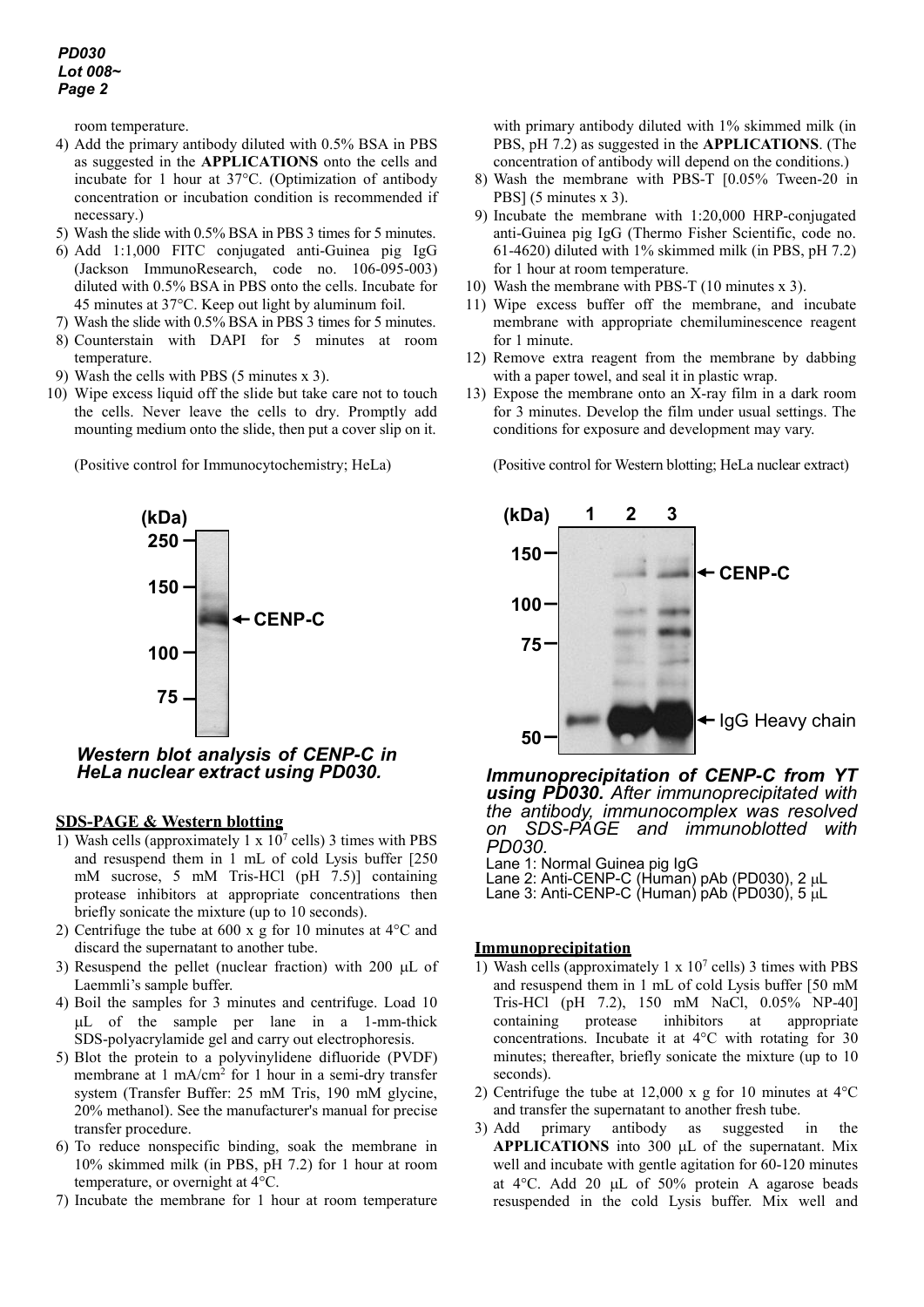# *PD030 Lot 008~ Page 2*

room temperature.

- 4) Add the primary antibody diluted with 0.5% BSA in PBS as suggested in the **APPLICATIONS** onto the cells and incubate for 1 hour at 37°C. (Optimization of antibody concentration or incubation condition is recommended if necessary.)
- 5) Wash the slide with 0.5% BSA in PBS 3 times for 5 minutes.
- 6) Add 1:1,000 FITC conjugated anti-Guinea pig IgG (Jackson ImmunoResearch, code no. 106-095-003) diluted with 0.5% BSA in PBS onto the cells. Incubate for 45 minutes at 37°C. Keep out light by aluminum foil.
- 7) Wash the slide with 0.5% BSA in PBS 3 times for 5 minutes.
- 8) Counterstain with DAPI for 5 minutes at room temperature.
- 9) Wash the cells with PBS (5 minutes x 3).
- 10) Wipe excess liquid off the slide but take care not to touch the cells. Never leave the cells to dry. Promptly add mounting medium onto the slide, then put a cover slip on it.

(Positive control for Immunocytochemistry; HeLa)



*Western blot analysis of CENP-C in HeLa nuclear extract using PD030.*

# **SDS-PAGE & Western blotting**

- 1) Wash cells (approximately  $1 \times 10^7$  cells) 3 times with PBS and resuspend them in 1 mL of cold Lysis buffer [250 mM sucrose, 5 mM Tris-HCl (pH 7.5)] containing protease inhibitors at appropriate concentrations then briefly sonicate the mixture (up to 10 seconds).
- 2) Centrifuge the tube at 600 x g for 10 minutes at 4°C and discard the supernatant to another tube.
- 3) Resuspend the pellet (nuclear fraction) with 200 µL of Laemmli's sample buffer.
- 4) Boil the samples for 3 minutes and centrifuge. Load 10 µL of the sample per lane in a 1-mm-thick SDS-polyacrylamide gel and carry out electrophoresis.
- 5) Blot the protein to a polyvinylidene difluoride (PVDF) membrane at 1 mA/cm<sup>2</sup> for 1 hour in a semi-dry transfer system (Transfer Buffer: 25 mM Tris, 190 mM glycine, 20% methanol). See the manufacturer's manual for precise transfer procedure.
- 6) To reduce nonspecific binding, soak the membrane in 10% skimmed milk (in PBS, pH 7.2) for 1 hour at room temperature, or overnight at 4°C.
- 7) Incubate the membrane for 1 hour at room temperature

with primary antibody diluted with 1% skimmed milk (in PBS, pH 7.2) as suggested in the **APPLICATIONS**. (The concentration of antibody will depend on the conditions.)

- 8) Wash the membrane with PBS-T [0.05% Tween-20 in PBS] (5 minutes x 3).
- 9) Incubate the membrane with 1:20,000 HRP-conjugated anti-Guinea pig IgG (Thermo Fisher Scientific, code no. 61-4620) diluted with 1% skimmed milk (in PBS, pH 7.2) for 1 hour at room temperature.
- 10) Wash the membrane with PBS-T (10 minutes x 3).
- 11) Wipe excess buffer off the membrane, and incubate membrane with appropriate chemiluminescence reagent for 1 minute.
- 12) Remove extra reagent from the membrane by dabbing with a paper towel, and seal it in plastic wrap.
- 13) Expose the membrane onto an X-ray film in a dark room for 3 minutes. Develop the film under usual settings. The conditions for exposure and development may vary.

(Positive control for Western blotting; HeLa nuclear extract)



*Immunoprecipitation of CENP-C from YT using PD030. After immunoprecipitated with the antibody, immunocomplex was resolved on SDS-PAGE and immunoblotted with*

Lane 1: Normal Guinea pig IgG

- Lane 2: Anti-CENP-C (Human) pAb (PD030), 2 µL
- Lane 3: Anti-CENP-C (Human) pAb (PD030), 5 µL

# **Immunoprecipitation**

- 1) Wash cells (approximately 1 x  $10<sup>7</sup>$  cells) 3 times with PBS and resuspend them in 1 mL of cold Lysis buffer [50 mM Tris-HCl (pH 7.2), 150 mM NaCl, 0.05% NP-40] containing protease inhibitors at appropriate concentrations. Incubate it at 4°C with rotating for 30 minutes; thereafter, briefly sonicate the mixture (up to 10 seconds).
- 2) Centrifuge the tube at 12,000 x g for 10 minutes at 4°C and transfer the supernatant to another fresh tube.
- 3) Add primary antibody as suggested in the **APPLICATIONS** into 300 µL of the supernatant. Mix well and incubate with gentle agitation for 60-120 minutes at 4°C. Add 20 µL of 50% protein A agarose beads resuspended in the cold Lysis buffer. Mix well and